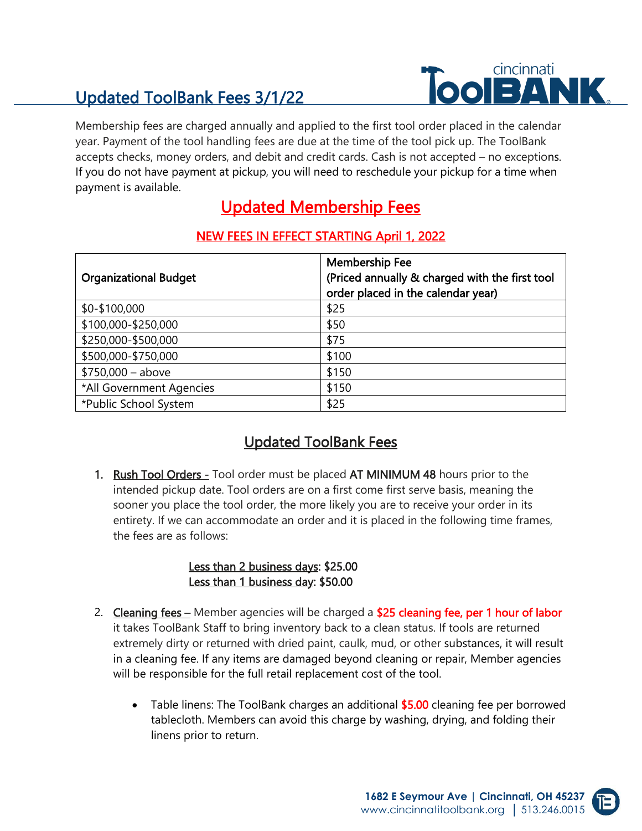# Updated ToolBank Fees 3/1/22



Membership fees are charged annually and applied to the first tool order placed in the calendar year. Payment of the tool handling fees are due at the time of the tool pick up. The ToolBank accepts checks, money orders, and debit and credit cards. Cash is not accepted – no exceptions. If you do not have payment at pickup, you will need to reschedule your pickup for a time when payment is available.

## Updated Membership Fees

| <b>Organizational Budget</b> | <b>Membership Fee</b><br>(Priced annually & charged with the first tool<br>order placed in the calendar year) |
|------------------------------|---------------------------------------------------------------------------------------------------------------|
| \$0-\$100,000                | \$25                                                                                                          |
| \$100,000-\$250,000          | \$50                                                                                                          |
| \$250,000-\$500,000          | \$75                                                                                                          |
| \$500,000-\$750,000          | \$100                                                                                                         |
| $$750,000 - above$           | \$150                                                                                                         |
| *All Government Agencies     | \$150                                                                                                         |
| *Public School System        | \$25                                                                                                          |

#### NEW FEES IN EFFECT STARTING April 1, 2022

### Updated ToolBank Fees

1. Rush Tool Orders - Tool order must be placed AT MINIMUM 48 hours prior to the intended pickup date. Tool orders are on a first come first serve basis, meaning the sooner you place the tool order, the more likely you are to receive your order in its entirety. If we can accommodate an order and it is placed in the following time frames, the fees are as follows:

#### Less than 2 business days: \$25.00 Less than 1 business day: \$50.00

- 2. Cleaning fees Member agencies will be charged a \$25 cleaning fee, per 1 hour of labor it takes ToolBank Staff to bring inventory back to a clean status. If tools are returned extremely dirty or returned with dried paint, caulk, mud, or other substances, it will result in a cleaning fee. If any items are damaged beyond cleaning or repair, Member agencies will be responsible for the full retail replacement cost of the tool.
	- Table linens: The ToolBank charges an additional \$5.00 cleaning fee per borrowed tablecloth. Members can avoid this charge by washing, drying, and folding their linens prior to return.